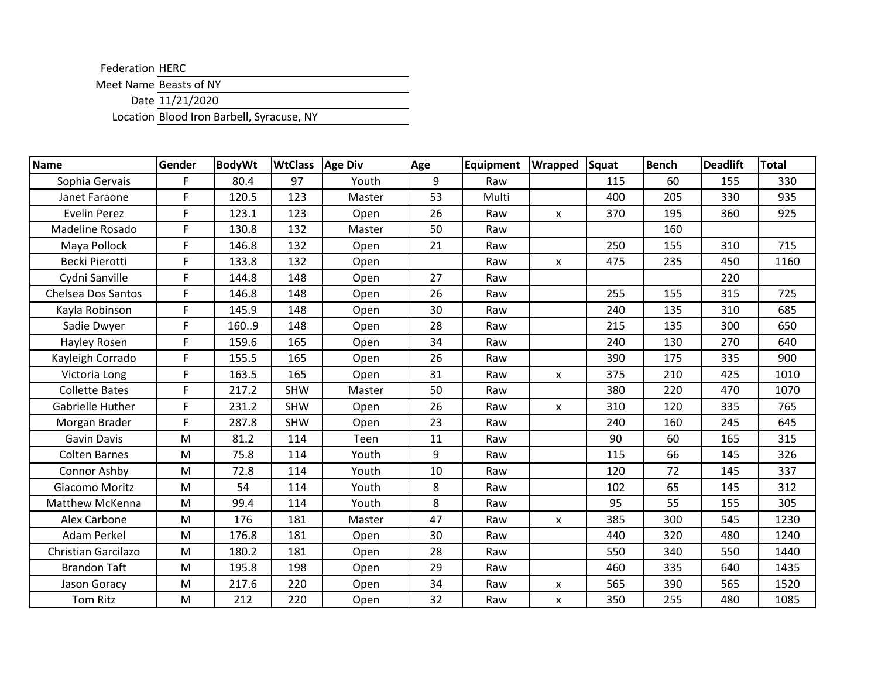Federation HERC

Meet Name Beasts of NY

Date 11/21/2020

Location Blood Iron Barbell, Syracuse, NY

| Name                      | Gender | <b>BodyWt</b> | <b>WtClass</b> | Age Div | Age | Equipment | <b>Wrapped</b> | Squat | <b>Bench</b> | <b>Deadlift</b> | <b>Total</b> |
|---------------------------|--------|---------------|----------------|---------|-----|-----------|----------------|-------|--------------|-----------------|--------------|
| Sophia Gervais            | F.     | 80.4          | 97             | Youth   | 9   | Raw       |                | 115   | 60           | 155             | 330          |
| Janet Faraone             | F      | 120.5         | 123            | Master  | 53  | Multi     |                | 400   | 205          | 330             | 935          |
| <b>Evelin Perez</b>       | F      | 123.1         | 123            | Open    | 26  | Raw       | X              | 370   | 195          | 360             | 925          |
| Madeline Rosado           | F.     | 130.8         | 132            | Master  | 50  | Raw       |                |       | 160          |                 |              |
| Maya Pollock              | F.     | 146.8         | 132            | Open    | 21  | Raw       |                | 250   | 155          | 310             | 715          |
| Becki Pierotti            | F.     | 133.8         | 132            | Open    |     | Raw       | X              | 475   | 235          | 450             | 1160         |
| Cydni Sanville            | F.     | 144.8         | 148            | Open    | 27  | Raw       |                |       |              | 220             |              |
| <b>Chelsea Dos Santos</b> | F.     | 146.8         | 148            | Open    | 26  | Raw       |                | 255   | 155          | 315             | 725          |
| Kayla Robinson            | F.     | 145.9         | 148            | Open    | 30  | Raw       |                | 240   | 135          | 310             | 685          |
| Sadie Dwyer               | F      | 1609          | 148            | Open    | 28  | Raw       |                | 215   | 135          | 300             | 650          |
| Hayley Rosen              | F.     | 159.6         | 165            | Open    | 34  | Raw       |                | 240   | 130          | 270             | 640          |
| Kayleigh Corrado          | F.     | 155.5         | 165            | Open    | 26  | Raw       |                | 390   | 175          | 335             | 900          |
| Victoria Long             | F.     | 163.5         | 165            | Open    | 31  | Raw       | X              | 375   | 210          | 425             | 1010         |
| <b>Collette Bates</b>     | F.     | 217.2         | <b>SHW</b>     | Master  | 50  | Raw       |                | 380   | 220          | 470             | 1070         |
| Gabrielle Huther          | F.     | 231.2         | <b>SHW</b>     | Open    | 26  | Raw       | X              | 310   | 120          | 335             | 765          |
| Morgan Brader             | F      | 287.8         | <b>SHW</b>     | Open    | 23  | Raw       |                | 240   | 160          | 245             | 645          |
| <b>Gavin Davis</b>        | M      | 81.2          | 114            | Teen    | 11  | Raw       |                | 90    | 60           | 165             | 315          |
| <b>Colten Barnes</b>      | M      | 75.8          | 114            | Youth   | 9   | Raw       |                | 115   | 66           | 145             | 326          |
| Connor Ashby              | M      | 72.8          | 114            | Youth   | 10  | Raw       |                | 120   | 72           | 145             | 337          |
| Giacomo Moritz            | M      | 54            | 114            | Youth   | 8   | Raw       |                | 102   | 65           | 145             | 312          |
| <b>Matthew McKenna</b>    | M      | 99.4          | 114            | Youth   | 8   | Raw       |                | 95    | 55           | 155             | 305          |
| Alex Carbone              | M      | 176           | 181            | Master  | 47  | Raw       | x              | 385   | 300          | 545             | 1230         |
| Adam Perkel               | M      | 176.8         | 181            | Open    | 30  | Raw       |                | 440   | 320          | 480             | 1240         |
| Christian Garcilazo       | M      | 180.2         | 181            | Open    | 28  | Raw       |                | 550   | 340          | 550             | 1440         |
| <b>Brandon Taft</b>       | M      | 195.8         | 198            | Open    | 29  | Raw       |                | 460   | 335          | 640             | 1435         |
| Jason Goracy              | M      | 217.6         | 220            | Open    | 34  | Raw       | X              | 565   | 390          | 565             | 1520         |
| <b>Tom Ritz</b>           | M      | 212           | 220            | Open    | 32  | Raw       | X              | 350   | 255          | 480             | 1085         |